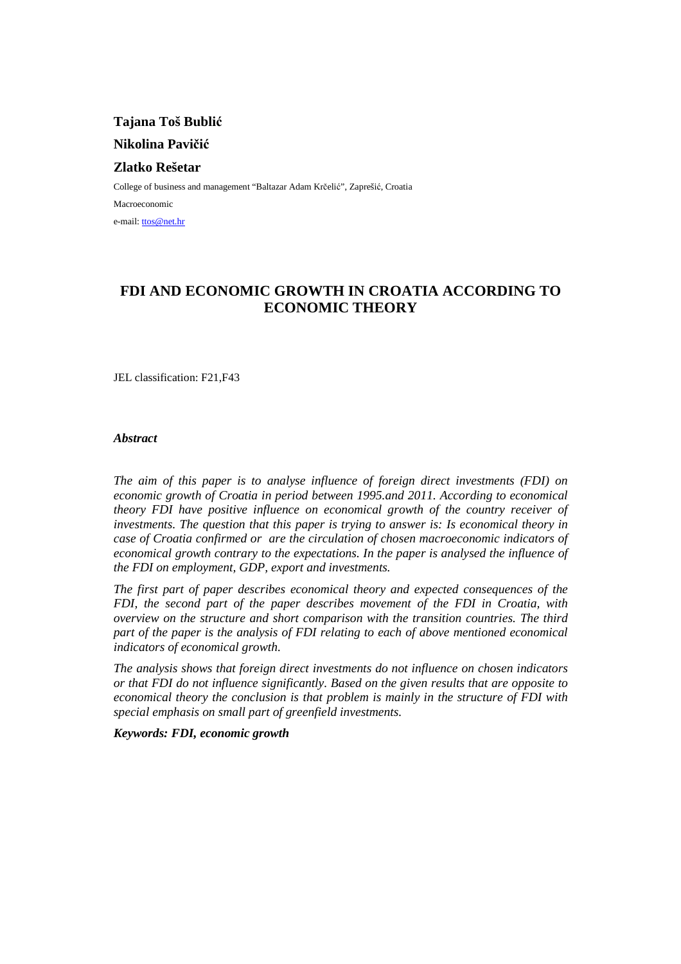**Tajana Toš Bublić Nikolina Pavičić**

## **Zlatko Rešetar**

College of business and management "Baltazar Adam Krčelić", Zaprešić, Croatia Macroeconomic e-mail: ttos@net.hr

# **FDI AND ECONOMIC GROWTH IN CROATIA ACCORDING TO ECONOMIC THEORY**

JEL classification: F21,F43

### *Abstract*

*The aim of this paper is to analyse influence of foreign direct investments (FDI) on economic growth of Croatia in period between 1995.and 2011. According to economical theory FDI have positive influence on economical growth of the country receiver of investments. The question that this paper is trying to answer is: Is economical theory in case of Croatia confirmed or are the circulation of chosen macroeconomic indicators of economical growth contrary to the expectations. In the paper is analysed the influence of the FDI on employment, GDP, export and investments.*

*The first part of paper describes economical theory and expected consequences of the FDI, the second part of the paper describes movement of the FDI in Croatia, with overview on the structure and short comparison with the transition countries. The third part of the paper is the analysis of FDI relating to each of above mentioned economical indicators of economical growth.* 

*The analysis shows that foreign direct investments do not influence on chosen indicators or that FDI do not influence significantly. Based on the given results that are opposite to economical theory the conclusion is that problem is mainly in the structure of FDI with special emphasis on small part of greenfield investments.* 

*Keywords: FDI, economic growth*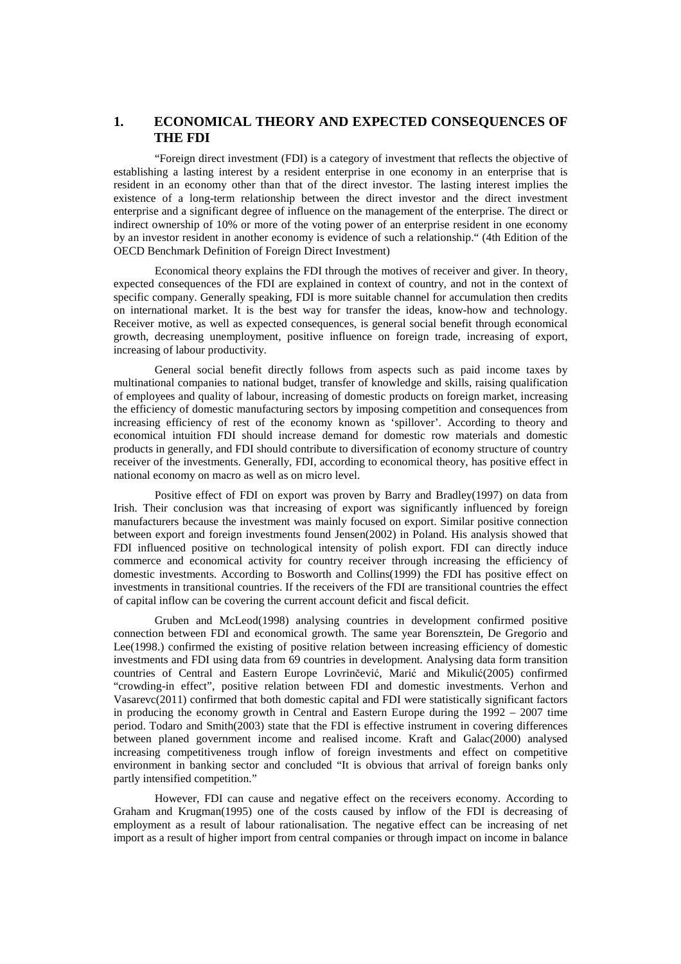## **1. ECONOMICAL THEORY AND EXPECTED CONSEQUENCES OF THE FDI**

"Foreign direct investment (FDI) is a category of investment that reflects the objective of establishing a lasting interest by a resident enterprise in one economy in an enterprise that is resident in an economy other than that of the direct investor. The lasting interest implies the existence of a long-term relationship between the direct investor and the direct investment enterprise and a significant degree of influence on the management of the enterprise. The direct or indirect ownership of 10% or more of the voting power of an enterprise resident in one economy by an investor resident in another economy is evidence of such a relationship." (4th Edition of the OECD Benchmark Definition of Foreign Direct Investment)

Economical theory explains the FDI through the motives of receiver and giver. In theory, expected consequences of the FDI are explained in context of country, and not in the context of specific company. Generally speaking, FDI is more suitable channel for accumulation then credits on international market. It is the best way for transfer the ideas, know-how and technology. Receiver motive, as well as expected consequences, is general social benefit through economical growth, decreasing unemployment, positive influence on foreign trade, increasing of export, increasing of labour productivity.

General social benefit directly follows from aspects such as paid income taxes by multinational companies to national budget, transfer of knowledge and skills, raising qualification of employees and quality of labour, increasing of domestic products on foreign market, increasing the efficiency of domestic manufacturing sectors by imposing competition and consequences from increasing efficiency of rest of the economy known as 'spillover'. According to theory and economical intuition FDI should increase demand for domestic row materials and domestic products in generally, and FDI should contribute to diversification of economy structure of country receiver of the investments. Generally, FDI, according to economical theory, has positive effect in national economy on macro as well as on micro level.

Positive effect of FDI on export was proven by Barry and Bradley(1997) on data from Irish. Their conclusion was that increasing of export was significantly influenced by foreign manufacturers because the investment was mainly focused on export. Similar positive connection between export and foreign investments found Jensen(2002) in Poland. His analysis showed that FDI influenced positive on technological intensity of polish export. FDI can directly induce commerce and economical activity for country receiver through increasing the efficiency of domestic investments. According to Bosworth and Collins(1999) the FDI has positive effect on investments in transitional countries. If the receivers of the FDI are transitional countries the effect of capital inflow can be covering the current account deficit and fiscal deficit.

Gruben and McLeod(1998) analysing countries in development confirmed positive connection between FDI and economical growth. The same year Borensztein, De Gregorio and Lee(1998.) confirmed the existing of positive relation between increasing efficiency of domestic investments and FDI using data from 69 countries in development. Analysing data form transition countries of Central and Eastern Europe Lovrinčević, Marić and Mikulić(2005) confirmed "crowding-in effect", positive relation between FDI and domestic investments. Verhon and Vasarevc(2011) confirmed that both domestic capital and FDI were statistically significant factors in producing the economy growth in Central and Eastern Europe during the  $1992 - 2007$  time period. Todaro and Smith(2003) state that the FDI is effective instrument in covering differences between planed government income and realised income. Kraft and Galac(2000) analysed increasing competitiveness trough inflow of foreign investments and effect on competitive environment in banking sector and concluded "It is obvious that arrival of foreign banks only partly intensified competition."

However, FDI can cause and negative effect on the receivers economy. According to Graham and Krugman(1995) one of the costs caused by inflow of the FDI is decreasing of employment as a result of labour rationalisation. The negative effect can be increasing of net import as a result of higher import from central companies or through impact on income in balance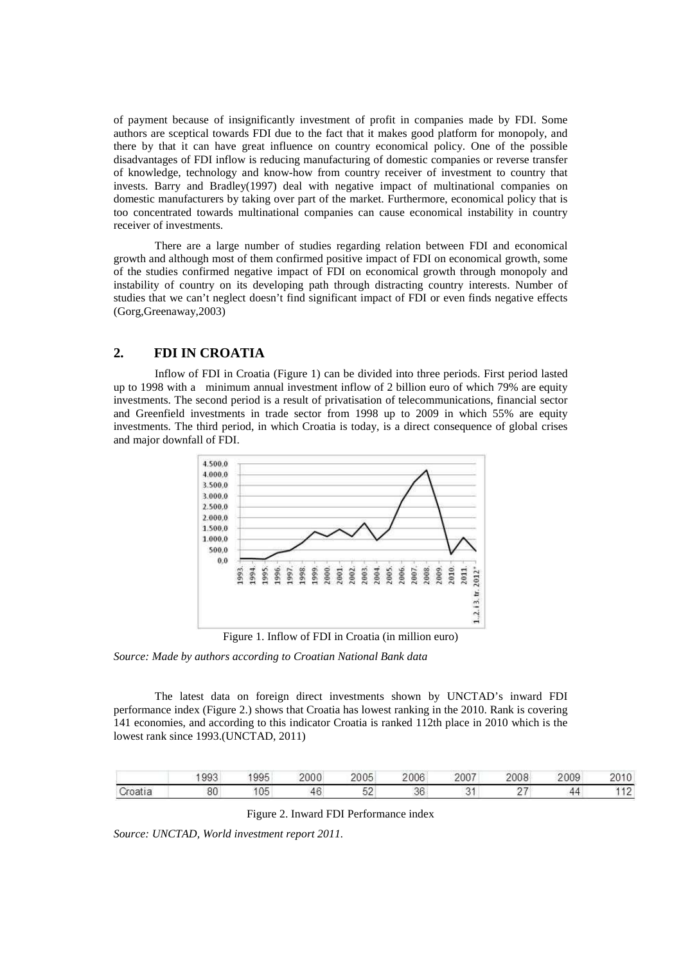of payment because of insignificantly investment of profit in companies made by FDI. Some authors are sceptical towards FDI due to the fact that it makes good platform for monopoly, and there by that it can have great influence on country economical policy. One of the possible disadvantages of FDI inflow is reducing manufacturing of domestic companies or reverse transfer of knowledge, technology and know-how from country receiver of investment to country that invests. Barry and Bradley(1997) deal with negative impact of multinational companies on domestic manufacturers by taking over part of the market. Furthermore, economical policy that is too concentrated towards multinational companies can cause economical instability in country receiver of investments.

There are a large number of studies regarding relation between FDI and economical growth and although most of them confirmed positive impact of FDI on economical growth, some of the studies confirmed negative impact of FDI on economical growth through monopoly and instability of country on its developing path through distracting country interests. Number of studies that we can't neglect doesn't find significant impact of FDI or even finds negative effects (Gorg,Greenaway,2003)

## **2. FDI IN CROATIA**

Inflow of FDI in Croatia (Figure 1) can be divided into three periods. First period lasted up to 1998 with a minimum annual investment inflow of 2 billion euro of which 79% are equity investments. The second period is a result of privatisation of telecommunications, financial sector and Greenfield investments in trade sector from 1998 up to 2009 in which 55% are equity investments. The third period, in which Croatia is today, is a direct consequence of global crises and major downfall of FDI.



Figure 1. Inflow of FDI in Croatia (in million euro)

*Source: Made by authors according to Croatian National Bank data* 

The latest data on foreign direct investments shown by UNCTAD's inward FDI performance index (Figure 2.) shows that Croatia has lowest ranking in the 2010. Rank is covering 141 economies, and according to this indicator Croatia is ranked 112th place in 2010 which is the lowest rank since 1993.(UNCTAD, 2011)

| 993 | QQ5           | 2000   | 2005              | a trial industrial and hands<br>2006 | 2007 | $\sim$ $\sim$ $\sim$<br>w | 2009 |     |
|-----|---------------|--------|-------------------|--------------------------------------|------|---------------------------|------|-----|
| 80  | $\sim$ $\sim$ | $\sim$ | r c<br>್ರ<br>---- | $\sim$<br>эc                         |      |                           | Δ0   | . . |

#### Figure 2. Inward FDI Performance index

*Source: UNCTAD, World investment report 2011.*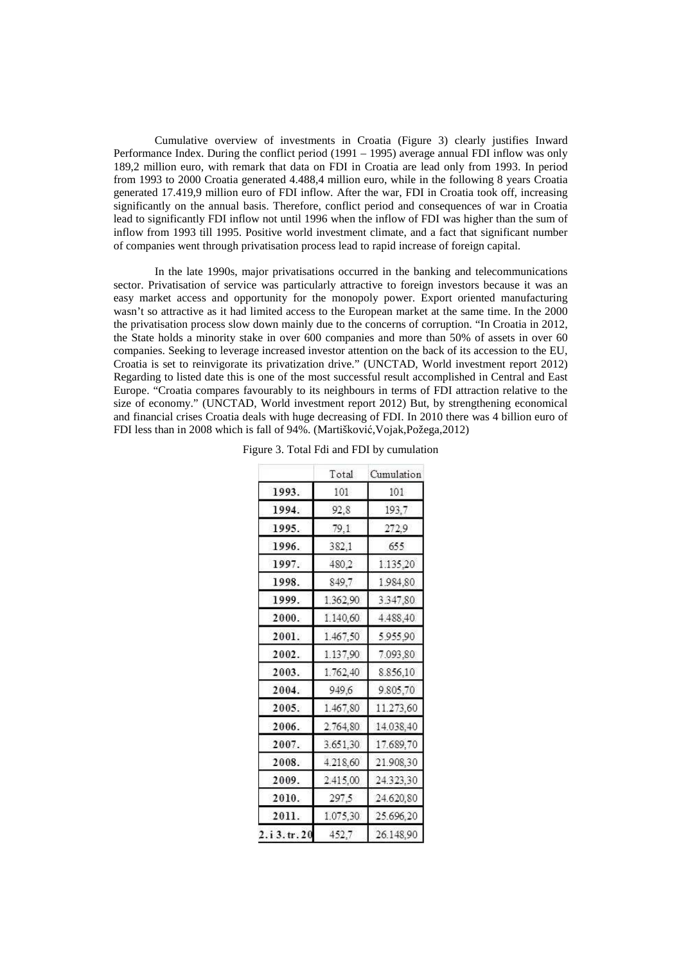Cumulative overview of investments in Croatia (Figure 3) clearly justifies Inward Performance Index. During the conflict period (1991 – 1995) average annual FDI inflow was only 189,2 million euro, with remark that data on FDI in Croatia are lead only from 1993. In period from 1993 to 2000 Croatia generated 4.488,4 million euro, while in the following 8 years Croatia generated 17.419,9 million euro of FDI inflow. After the war, FDI in Croatia took off, increasing significantly on the annual basis. Therefore, conflict period and consequences of war in Croatia lead to significantly FDI inflow not until 1996 when the inflow of FDI was higher than the sum of inflow from 1993 till 1995. Positive world investment climate, and a fact that significant number of companies went through privatisation process lead to rapid increase of foreign capital.

In the late 1990s, major privatisations occurred in the banking and telecommunications sector. Privatisation of service was particularly attractive to foreign investors because it was an easy market access and opportunity for the monopoly power. Export oriented manufacturing wasn't so attractive as it had limited access to the European market at the same time. In the 2000 the privatisation process slow down mainly due to the concerns of corruption. "In Croatia in 2012, the State holds a minority stake in over 600 companies and more than 50% of assets in over 60 companies. Seeking to leverage increased investor attention on the back of its accession to the EU, Croatia is set to reinvigorate its privatization drive." (UNCTAD, World investment report 2012) Regarding to listed date this is one of the most successful result accomplished in Central and East Europe. "Croatia compares favourably to its neighbours in terms of FDI attraction relative to the size of economy." (UNCTAD, World investment report 2012) But, by strengthening economical and financial crises Croatia deals with huge decreasing of FDI. In 2010 there was 4 billion euro of FDI less than in 2008 which is fall of 94%. (Martišković,Vojak,Požega,2012)

|            | Total    | Cumulation |
|------------|----------|------------|
| 1993.      | 101      | 101        |
| 1994.      | 92.8     | 193,7      |
| 1995.      | 79,1     | 272,9      |
| 1996.      | 382,1    | 655        |
| 1997.      | 480,2    | 1.135,20   |
| 1998.      | 849,7    | 1.984,80   |
| 1999.      | 1.362,90 | 3.347,80   |
| 2000.      | 1.140,60 | 4.488,40   |
| 2001.      | 1.467,50 | 5.955.90   |
| 2002.      | 1.137,90 | 7.093,80   |
| 2003.      | 1.762,40 | 8.856,10   |
| 2004.      | 949,6    | 9.805,70   |
| 2005.      | 1.467,80 | 11.273,60  |
| 2006.      | 2.764,80 | 14.038,40  |
| 2007.      | 3.651,30 | 17.689,70  |
| 2008.      | 4.218,60 | 21.908,30  |
| 2009.      | 2.415,00 | 24.323,30  |
| 2010.      | 297.5    | 24.620,80  |
| 2011.      | 1.075,30 | 25.696,20  |
| 2.i3.tr.20 | 452.7    | 26.148.90  |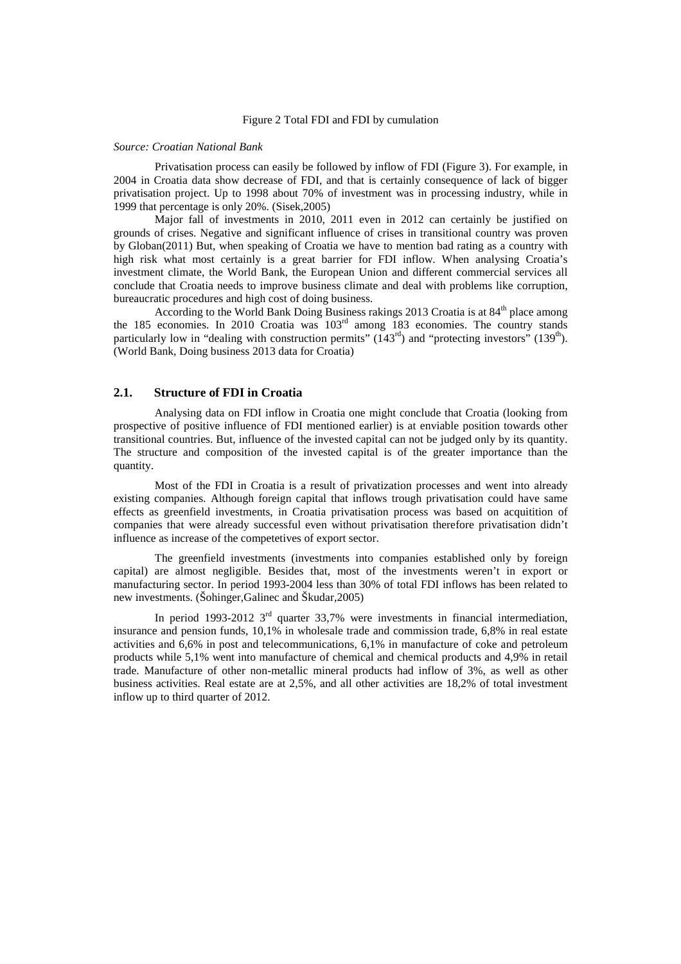#### Figure 2 Total FDI and FDI by cumulation

#### *Source: Croatian National Bank*

Privatisation process can easily be followed by inflow of FDI (Figure 3). For example, in 2004 in Croatia data show decrease of FDI, and that is certainly consequence of lack of bigger privatisation project. Up to 1998 about 70% of investment was in processing industry, while in 1999 that percentage is only 20%. (Sisek,2005)

Major fall of investments in 2010, 2011 even in 2012 can certainly be justified on grounds of crises. Negative and significant influence of crises in transitional country was proven by Globan(2011) But, when speaking of Croatia we have to mention bad rating as a country with high risk what most certainly is a great barrier for FDI inflow. When analysing Croatia's investment climate, the World Bank, the European Union and different commercial services all conclude that Croatia needs to improve business climate and deal with problems like corruption, bureaucratic procedures and high cost of doing business.

According to the World Bank Doing Business rakings 2013 Croatia is at  $84<sup>th</sup>$  place among the 185 economies. In 2010 Croatia was  $103<sup>rd</sup>$  among 183 economies. The country stands particularly low in "dealing with construction permits" (143<sup>rd</sup>) and "protecting investors" (139<sup>th</sup>). (World Bank, Doing business 2013 data for Croatia)

### **2.1. Structure of FDI in Croatia**

Analysing data on FDI inflow in Croatia one might conclude that Croatia (looking from prospective of positive influence of FDI mentioned earlier) is at enviable position towards other transitional countries. But, influence of the invested capital can not be judged only by its quantity. The structure and composition of the invested capital is of the greater importance than the quantity.

Most of the FDI in Croatia is a result of privatization processes and went into already existing companies. Although foreign capital that inflows trough privatisation could have same effects as greenfield investments, in Croatia privatisation process was based on acquitition of companies that were already successful even without privatisation therefore privatisation didn't influence as increase of the competetives of export sector.

The greenfield investments (investments into companies established only by foreign capital) are almost negligible. Besides that, most of the investments weren't in export or manufacturing sector. In period 1993-2004 less than 30% of total FDI inflows has been related to new investments. (Šohinger,Galinec and Škudar,2005)

In period 1993-2012  $3<sup>rd</sup>$  quarter 33,7% were investments in financial intermediation, insurance and pension funds, 10,1% in wholesale trade and commission trade, 6,8% in real estate activities and 6,6% in post and telecommunications, 6,1% in manufacture of coke and petroleum products while 5,1% went into manufacture of chemical and chemical products and 4,9% in retail trade. Manufacture of other non-metallic mineral products had inflow of 3%, as well as other business activities. Real estate are at 2,5%, and all other activities are 18,2% of total investment inflow up to third quarter of 2012.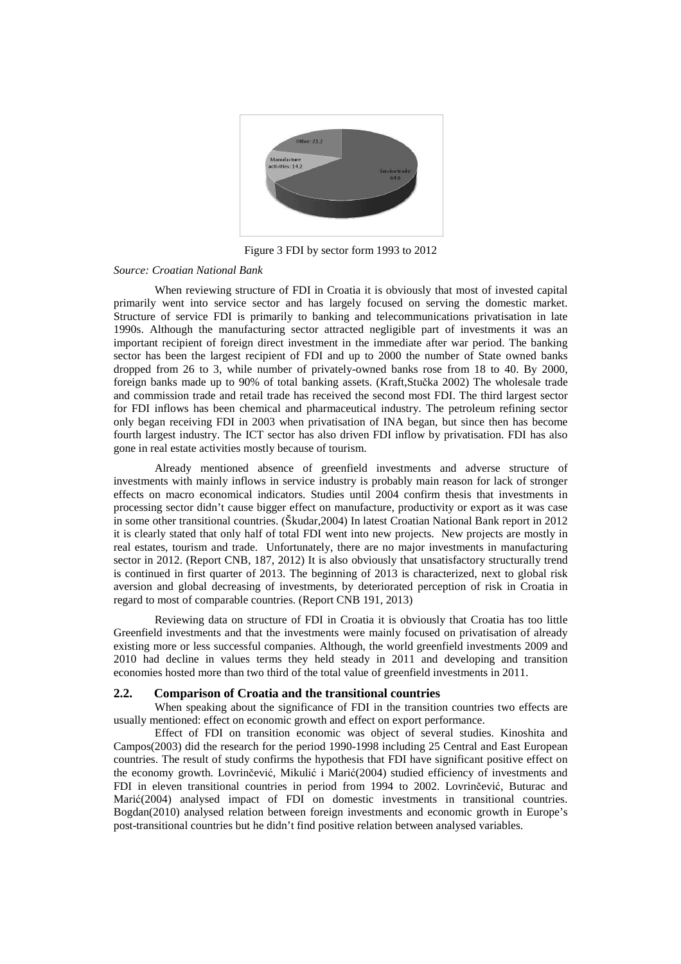

Figure 3 FDI by sector form 1993 to 2012

#### *Source: Croatian National Bank*

When reviewing structure of FDI in Croatia it is obviously that most of invested capital primarily went into service sector and has largely focused on serving the domestic market. Structure of service FDI is primarily to banking and telecommunications privatisation in late 1990s. Although the manufacturing sector attracted negligible part of investments it was an important recipient of foreign direct investment in the immediate after war period. The banking sector has been the largest recipient of FDI and up to 2000 the number of State owned banks dropped from 26 to 3, while number of privately-owned banks rose from 18 to 40. By 2000, foreign banks made up to 90% of total banking assets. (Kraft,Stučka 2002) The wholesale trade and commission trade and retail trade has received the second most FDI. The third largest sector for FDI inflows has been chemical and pharmaceutical industry. The petroleum refining sector only began receiving FDI in 2003 when privatisation of INA began, but since then has become fourth largest industry. The ICT sector has also driven FDI inflow by privatisation. FDI has also gone in real estate activities mostly because of tourism.

Already mentioned absence of greenfield investments and adverse structure of investments with mainly inflows in service industry is probably main reason for lack of stronger effects on macro economical indicators. Studies until 2004 confirm thesis that investments in processing sector didn't cause bigger effect on manufacture, productivity or export as it was case in some other transitional countries. (Škudar,2004) In latest Croatian National Bank report in 2012 it is clearly stated that only half of total FDI went into new projects. New projects are mostly in real estates, tourism and trade. Unfortunately, there are no major investments in manufacturing sector in 2012. (Report CNB, 187, 2012) It is also obviously that unsatisfactory structurally trend is continued in first quarter of 2013. The beginning of 2013 is characterized, next to global risk aversion and global decreasing of investments, by deteriorated perception of risk in Croatia in regard to most of comparable countries. (Report CNB 191, 2013)

Reviewing data on structure of FDI in Croatia it is obviously that Croatia has too little Greenfield investments and that the investments were mainly focused on privatisation of already existing more or less successful companies. Although, the world greenfield investments 2009 and 2010 had decline in values terms they held steady in 2011 and developing and transition economies hosted more than two third of the total value of greenfield investments in 2011.

#### **2.2. Comparison of Croatia and the transitional countries**

When speaking about the significance of FDI in the transition countries two effects are usually mentioned: effect on economic growth and effect on export performance.

Effect of FDI on transition economic was object of several studies. Kinoshita and Campos(2003) did the research for the period 1990-1998 including 25 Central and East European countries. The result of study confirms the hypothesis that FDI have significant positive effect on the economy growth. Lovrinčević, Mikulić i Marić(2004) studied efficiency of investments and FDI in eleven transitional countries in period from 1994 to 2002. Lovrinčević, Buturac and Marić(2004) analysed impact of FDI on domestic investments in transitional countries. Bogdan(2010) analysed relation between foreign investments and economic growth in Europe's post-transitional countries but he didn't find positive relation between analysed variables.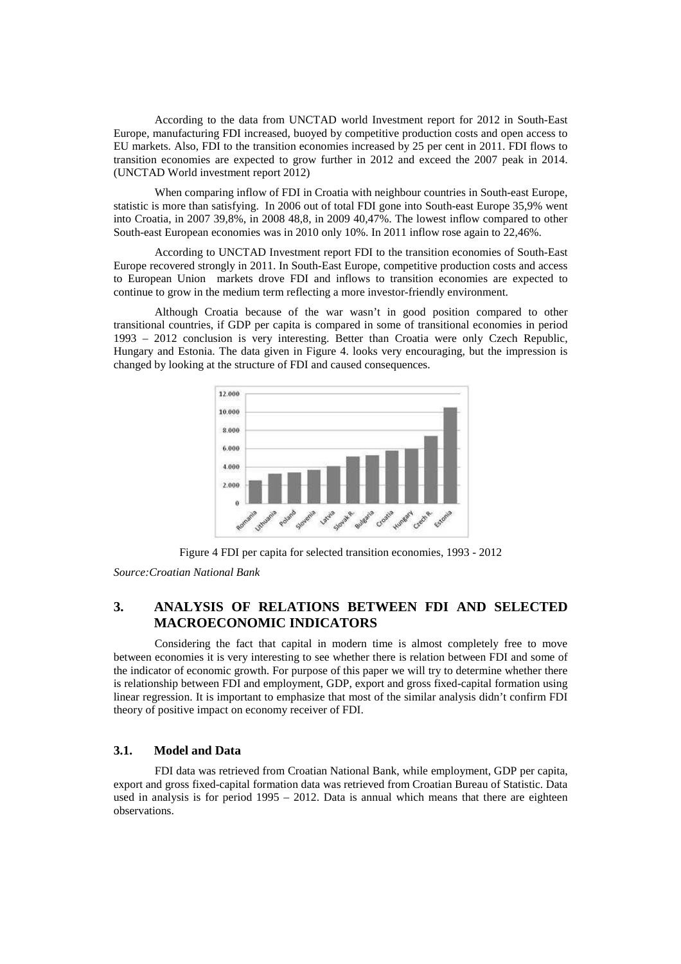According to the data from UNCTAD world Investment report for 2012 in South-East Europe, manufacturing FDI increased, buoyed by competitive production costs and open access to EU markets. Also, FDI to the transition economies increased by 25 per cent in 2011. FDI flows to transition economies are expected to grow further in 2012 and exceed the 2007 peak in 2014. (UNCTAD World investment report 2012)

When comparing inflow of FDI in Croatia with neighbour countries in South-east Europe, statistic is more than satisfying. In 2006 out of total FDI gone into South-east Europe 35,9% went into Croatia, in 2007 39,8%, in 2008 48,8, in 2009 40,47%. The lowest inflow compared to other South-east European economies was in 2010 only 10%. In 2011 inflow rose again to 22,46%.

According to UNCTAD Investment report FDI to the transition economies of South-East Europe recovered strongly in 2011. In South-East Europe, competitive production costs and access to European Union markets drove FDI and inflows to transition economies are expected to continue to grow in the medium term reflecting a more investor-friendly environment.

Although Croatia because of the war wasn't in good position compared to other transitional countries, if GDP per capita is compared in some of transitional economies in period 1993 – 2012 conclusion is very interesting. Better than Croatia were only Czech Republic, Hungary and Estonia. The data given in Figure 4. looks very encouraging, but the impression is changed by looking at the structure of FDI and caused consequences.



Figure 4 FDI per capita for selected transition economies, 1993 - 2012

*Source:Croatian National Bank* 

## **3. ANALYSIS OF RELATIONS BETWEEN FDI AND SELECTED MACROECONOMIC INDICATORS**

Considering the fact that capital in modern time is almost completely free to move between economies it is very interesting to see whether there is relation between FDI and some of the indicator of economic growth. For purpose of this paper we will try to determine whether there is relationship between FDI and employment, GDP, export and gross fixed-capital formation using linear regression. It is important to emphasize that most of the similar analysis didn't confirm FDI theory of positive impact on economy receiver of FDI.

## **3.1. Model and Data**

FDI data was retrieved from Croatian National Bank, while employment, GDP per capita, export and gross fixed-capital formation data was retrieved from Croatian Bureau of Statistic. Data used in analysis is for period 1995 – 2012. Data is annual which means that there are eighteen observations.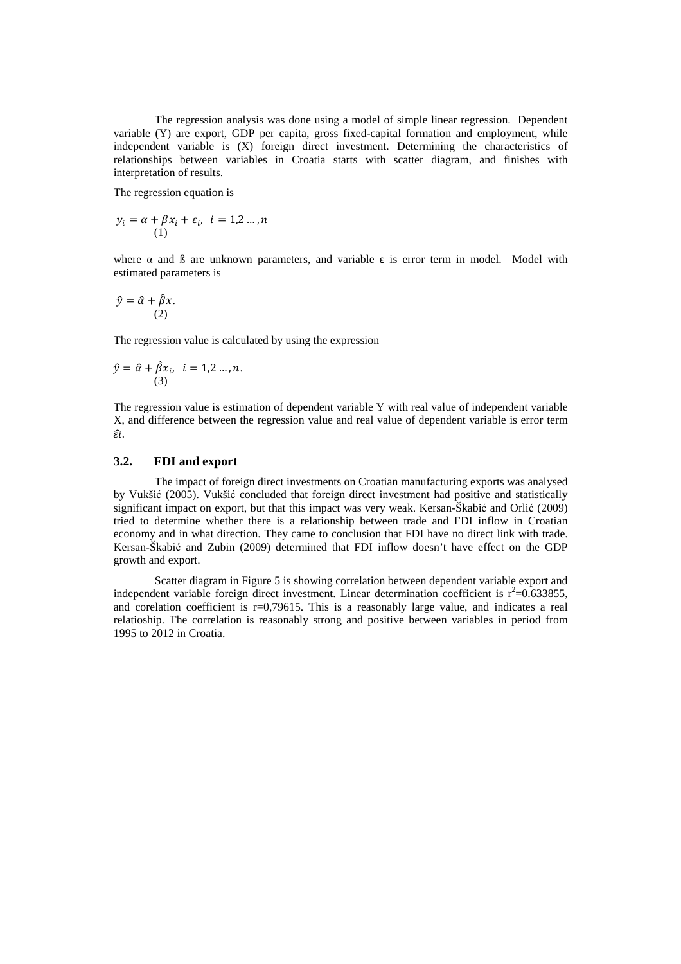The regression analysis was done using a model of simple linear regression. Dependent variable (Y) are export, GDP per capita, gross fixed-capital formation and employment, while independent variable is (X) foreign direct investment. Determining the characteristics of relationships between variables in Croatia starts with scatter diagram, and finishes with interpretation of results.

The regression equation is

$$
y_i = \alpha + \beta x_i + \varepsilon_i, \quad i = 1, 2 \dots, n
$$

$$
(1)
$$

where  $\alpha$  and  $\beta$  are unknown parameters, and variable  $\epsilon$  is error term in model. Model with estimated parameters is

$$
\hat{y} = \hat{\alpha} + \hat{\beta}x.
$$
  
(2)

The regression value is calculated by using the expression

$$
\hat{y} = \hat{\alpha} + \hat{\beta}x_i, \quad i = 1, 2 \dots, n.
$$
\n(3)

The regression value is estimation of dependent variable Y with real value of independent variable X, and difference between the regression value and real value of dependent variable is error term  $\widehat{\epsilon l}$ .

## **3.2. FDI and export**

The impact of foreign direct investments on Croatian manufacturing exports was analysed by Vukšić (2005). Vukšić concluded that foreign direct investment had positive and statistically significant impact on export, but that this impact was very weak. Kersan-Škabić and Orlić (2009) tried to determine whether there is a relationship between trade and FDI inflow in Croatian economy and in what direction. They came to conclusion that FDI have no direct link with trade. Kersan-Škabić and Zubin (2009) determined that FDI inflow doesn't have effect on the GDP growth and export.

Scatter diagram in Figure 5 is showing correlation between dependent variable export and independent variable foreign direct investment. Linear determination coefficient is  $r^2$ =0.633855, and corelation coefficient is r=0,79615. This is a reasonably large value, and indicates a real relatioship. The correlation is reasonably strong and positive between variables in period from 1995 to 2012 in Croatia.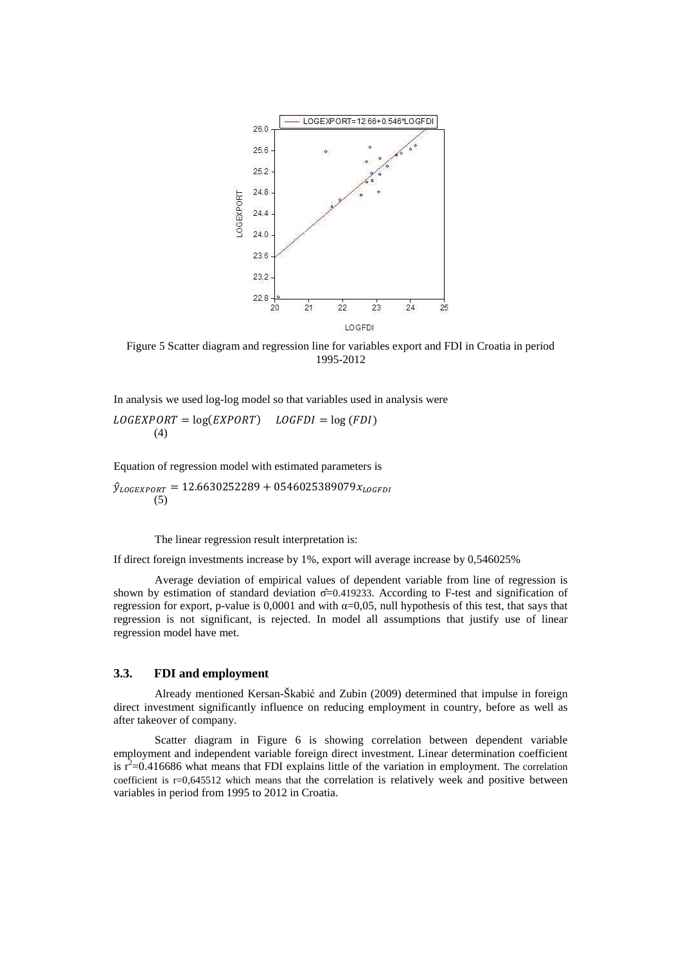

Figure 5 Scatter diagram and regression line for variables export and FDI in Croatia in period 1995-2012

 $LOGEXPORT = log(EXPORT)$   $LOGFDI = log(FDI)$ (4)

Equation of regression model with estimated parameters is

 $\hat{y}_{\text{LOGEXPORT}} = 12.6630252289 + 0546025389079x_{\text{LOGFDI}}$ (5)

The linear regression result interpretation is:

If direct foreign investments increase by 1%, export will average increase by 0,546025%

Average deviation of empirical values of dependent variable from line of regression is shown by estimation of standard deviation σ̂=0.419233. According to F-test and signification of regression for export, p-value is 0,0001 and with  $\alpha$ =0,05, null hypothesis of this test, that says that regression is not significant, is rejected. In model all assumptions that justify use of linear regression model have met.

## **3.3. FDI and employment**

Already mentioned Kersan-Škabić and Zubin (2009) determined that impulse in foreign direct investment significantly influence on reducing employment in country, before as well as after takeover of company.

Scatter diagram in Figure 6 is showing correlation between dependent variable employment and independent variable foreign direct investment. Linear determination coefficient is  $r^2$ =0.416686 what means that FDI explains little of the variation in employment. The correlation coefficient is r=0,645512 which means that the correlation is relatively week and positive between variables in period from 1995 to 2012 in Croatia.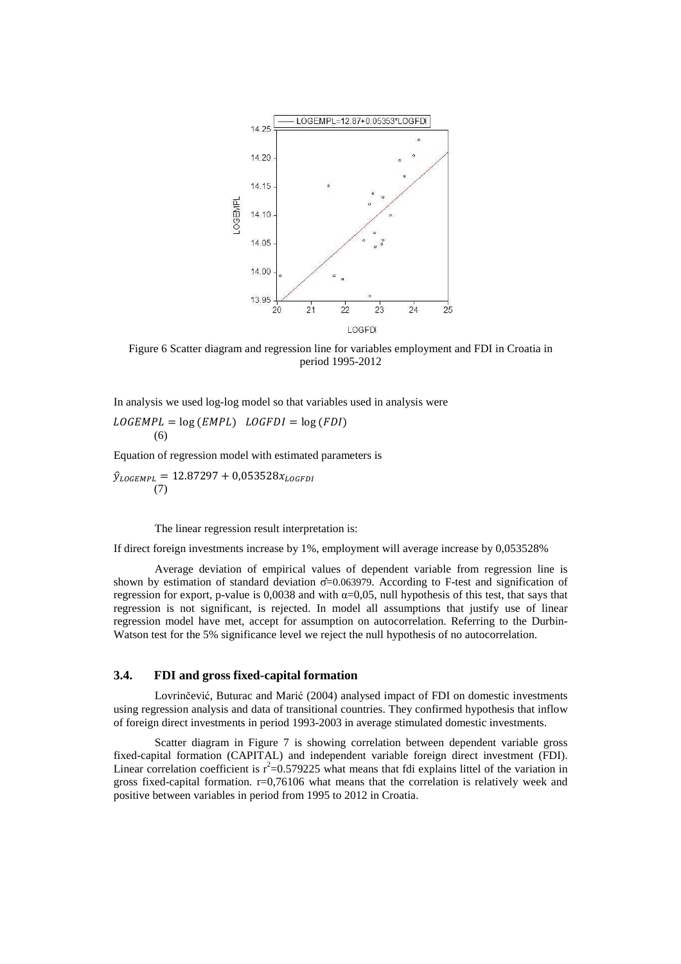

Figure 6 Scatter diagram and regression line for variables employment and FDI in Croatia in period 1995-2012

$$
LOGEMPL = log (EMPL) LOGFDI = log (FDI)
$$
  
(6)

Equation of regression model with estimated parameters is

 $\hat{y}_{LOGEMPL} = 12.87297 + 0.053528x_{LOGFDI}$ (7)

The linear regression result interpretation is:

If direct foreign investments increase by 1%, employment will average increase by 0,053528%

Average deviation of empirical values of dependent variable from regression line is shown by estimation of standard deviation σ̂=0.063979. According to F-test and signification of regression for export, p-value is 0,0038 and with  $\alpha$ =0,05, null hypothesis of this test, that says that regression is not significant, is rejected. In model all assumptions that justify use of linear regression model have met, accept for assumption on autocorrelation. Referring to the Durbin-Watson test for the 5% significance level we reject the null hypothesis of no autocorrelation.

## **3.4. FDI and gross fixed-capital formation**

Lovrinčević, Buturac and Marić (2004) analysed impact of FDI on domestic investments using regression analysis and data of transitional countries. They confirmed hypothesis that inflow of foreign direct investments in period 1993-2003 in average stimulated domestic investments.

Scatter diagram in Figure 7 is showing correlation between dependent variable gross fixed-capital formation (CAPITAL) and independent variable foreign direct investment (FDI). Linear correlation coefficient is  $r^2$ =0.579225 what means that fdi explains littel of the variation in gross fixed-capital formation. r=0,76106 what means that the correlation is relatively week and positive between variables in period from 1995 to 2012 in Croatia.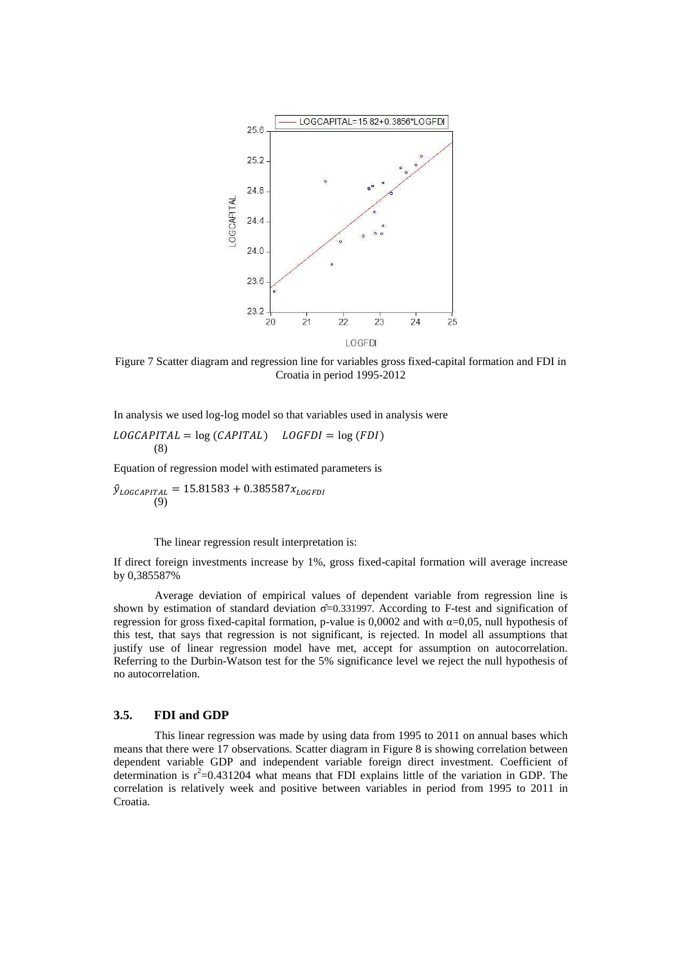

Figure 7 Scatter diagram and regression line for variables gross fixed-capital formation and FDI in Croatia in period 1995-2012

 $LOGCAPITAL = log (CAPITAL)$   $LOGFDI = log (FDI)$ (8)

Equation of regression model with estimated parameters is

 $\hat{y}_{LOGCAPITAL} = 15.81583 + 0.385587x_{LOGFDI}$ (9)

The linear regression result interpretation is:

If direct foreign investments increase by 1%, gross fixed-capital formation will average increase by 0,385587%

Average deviation of empirical values of dependent variable from regression line is shown by estimation of standard deviation σ̂=0.331997. According to F-test and signification of regression for gross fixed-capital formation, p-value is 0,0002 and with  $\alpha$ =0,05, null hypothesis of this test, that says that regression is not significant, is rejected. In model all assumptions that justify use of linear regression model have met, accept for assumption on autocorrelation. Referring to the Durbin-Watson test for the 5% significance level we reject the null hypothesis of no autocorrelation.

### **3.5. FDI and GDP**

This linear regression was made by using data from 1995 to 2011 on annual bases which means that there were 17 observations. Scatter diagram in Figure 8 is showing correlation between dependent variable GDP and independent variable foreign direct investment. Coefficient of determination is  $r^2$ =0.431204 what means that FDI explains little of the variation in GDP. The correlation is relatively week and positive between variables in period from 1995 to 2011 in Croatia.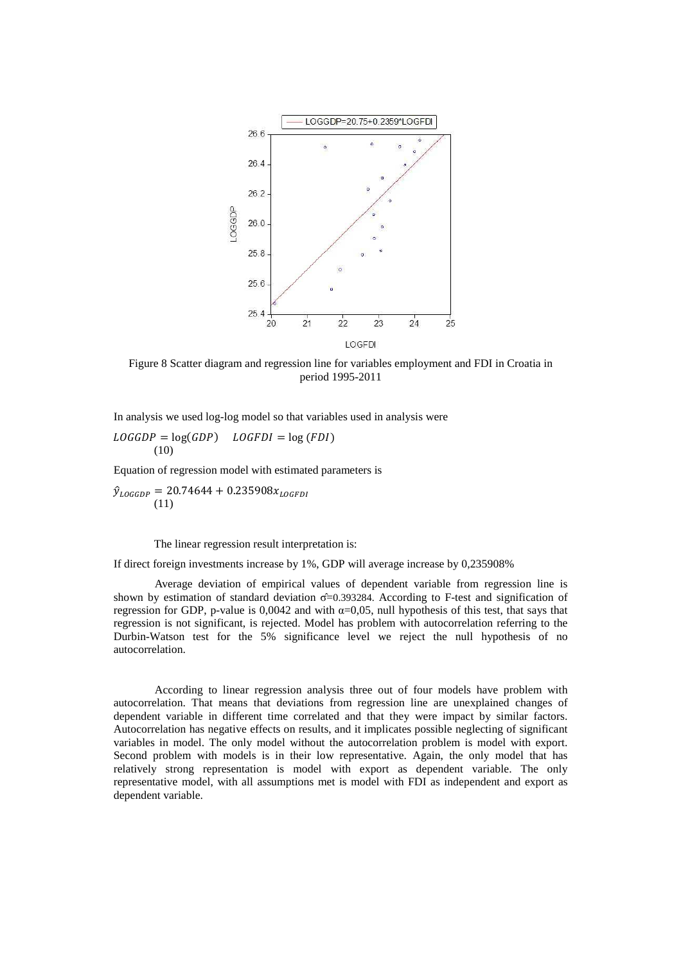

Figure 8 Scatter diagram and regression line for variables employment and FDI in Croatia in period 1995-2011

 $LOGGDP = log(GDP)$   $LOGFDI = log(FDI)$ (10)

Equation of regression model with estimated parameters is

 $\hat{y}_{\text{LOGGDP}} = 20.74644 + 0.235908x_{\text{LOGFD}}$ (11)

The linear regression result interpretation is:

If direct foreign investments increase by 1%, GDP will average increase by 0,235908%

Average deviation of empirical values of dependent variable from regression line is shown by estimation of standard deviation  $\sigma = 0.393284$ . According to F-test and signification of regression for GDP, p-value is 0,0042 and with  $\alpha$ =0,05, null hypothesis of this test, that says that regression is not significant, is rejected. Model has problem with autocorrelation referring to the Durbin-Watson test for the 5% significance level we reject the null hypothesis of no autocorrelation.

According to linear regression analysis three out of four models have problem with autocorrelation. That means that deviations from regression line are unexplained changes of dependent variable in different time correlated and that they were impact by similar factors. Autocorrelation has negative effects on results, and it implicates possible neglecting of significant variables in model. The only model without the autocorrelation problem is model with export. Second problem with models is in their low representative. Again, the only model that has relatively strong representation is model with export as dependent variable. The only representative model, with all assumptions met is model with FDI as independent and export as dependent variable.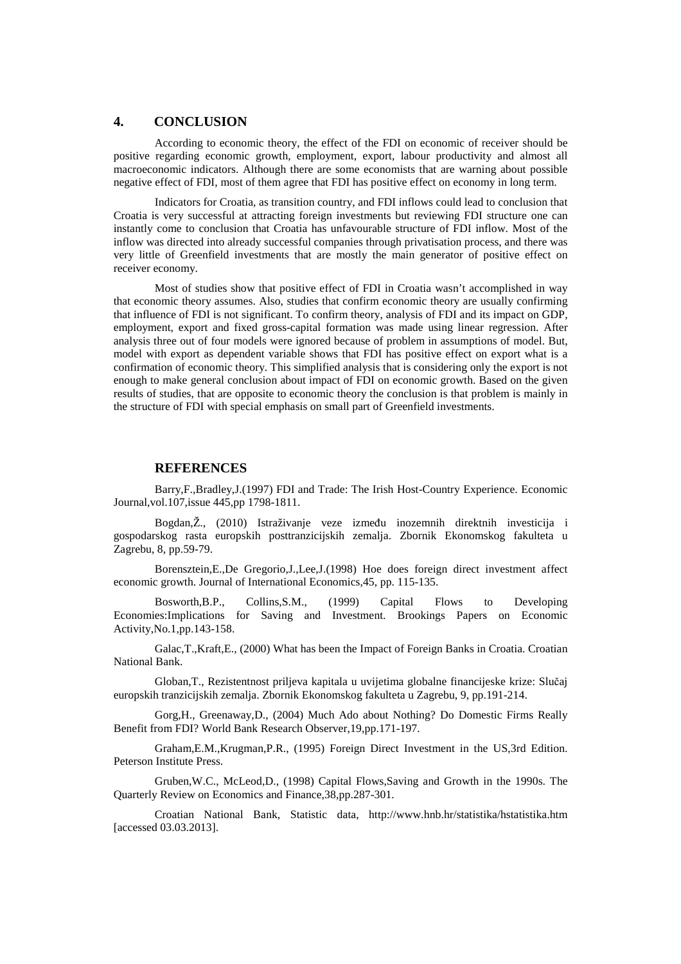## **4. CONCLUSION**

According to economic theory, the effect of the FDI on economic of receiver should be positive regarding economic growth, employment, export, labour productivity and almost all macroeconomic indicators. Although there are some economists that are warning about possible negative effect of FDI, most of them agree that FDI has positive effect on economy in long term.

Indicators for Croatia, as transition country, and FDI inflows could lead to conclusion that Croatia is very successful at attracting foreign investments but reviewing FDI structure one can instantly come to conclusion that Croatia has unfavourable structure of FDI inflow. Most of the inflow was directed into already successful companies through privatisation process, and there was very little of Greenfield investments that are mostly the main generator of positive effect on receiver economy.

Most of studies show that positive effect of FDI in Croatia wasn't accomplished in way that economic theory assumes. Also, studies that confirm economic theory are usually confirming that influence of FDI is not significant. To confirm theory, analysis of FDI and its impact on GDP, employment, export and fixed gross-capital formation was made using linear regression. After analysis three out of four models were ignored because of problem in assumptions of model. But, model with export as dependent variable shows that FDI has positive effect on export what is a confirmation of economic theory. This simplified analysis that is considering only the export is not enough to make general conclusion about impact of FDI on economic growth. Based on the given results of studies, that are opposite to economic theory the conclusion is that problem is mainly in the structure of FDI with special emphasis on small part of Greenfield investments.

## **REFERENCES**

Barry,F.,Bradley,J.(1997) FDI and Trade: The Irish Host-Country Experience. Economic Journal,vol.107,issue 445,pp 1798-1811.

Bogdan,Ž., (2010) Istraživanje veze između inozemnih direktnih investicija i gospodarskog rasta europskih posttranzicijskih zemalja. Zbornik Ekonomskog fakulteta u Zagrebu, 8, pp.59-79.

Borensztein,E.,De Gregorio,J.,Lee,J.(1998) Hoe does foreign direct investment affect economic growth. Journal of International Economics,45, pp. 115-135.

Bosworth,B.P., Collins,S.M., (1999) Capital Flows to Developing Economies:Implications for Saving and Investment. Brookings Papers on Economic Activity,No.1,pp.143-158.

Galac,T.,Kraft,E., (2000) What has been the Impact of Foreign Banks in Croatia. Croatian National Bank.

Globan,T., Rezistentnost priljeva kapitala u uvijetima globalne financijeske krize: Slučaj europskih tranzicijskih zemalja. Zbornik Ekonomskog fakulteta u Zagrebu, 9, pp.191-214.

Gorg,H., Greenaway,D., (2004) Much Ado about Nothing? Do Domestic Firms Really Benefit from FDI? World Bank Research Observer,19,pp.171-197.

Graham,E.M.,Krugman,P.R., (1995) Foreign Direct Investment in the US,3rd Edition. Peterson Institute Press.

Gruben,W.C., McLeod,D., (1998) Capital Flows,Saving and Growth in the 1990s. The Quarterly Review on Economics and Finance,38,pp.287-301.

Croatian National Bank, Statistic data, http://www.hnb.hr/statistika/hstatistika.htm [accessed 03.03.2013].